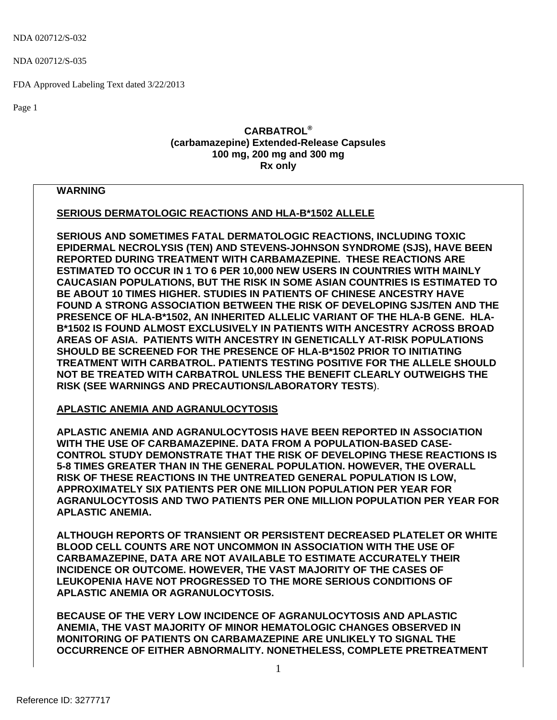NDA 020712/S-035

FDA Approved Labeling Text dated 3/22/2013

Page 1

## **CARBATROL® (carbamazepine) Extended-Release Capsules 100 mg, 200 mg and 300 mg Rx only**

## <span id="page-0-0"></span>**WARNING**

## **SERIOUS DERMATOLOGIC REACTIONS AND HLA-B\*1502 ALLELE**

**SERIOUS AND SOMETIMES FATAL DERMATOLOGIC REACTIONS, INCLUDING TOXIC EPIDERMAL NECROLYSIS (TEN) AND STEVENS-JOHNSON SYNDROME (SJS), HAVE BEEN REPORTED DURING TREATMENT WITH CARBAMAZEPINE. THESE REACTIONS ARE ESTIMATED TO OCCUR IN 1 TO 6 PER 10,000 NEW USERS IN COUNTRIES WITH MAINLY CAUCASIAN POPULATIONS, BUT THE RISK IN SOME ASIAN COUNTRIES IS ESTIMATED TO BE ABOUT 10 TIMES HIGHER. STUDIES IN PATIENTS OF CHINESE ANCESTRY HAVE FOUND A STRONG ASSOCIATION BETWEEN THE RISK OF DEVELOPING SJS/TEN AND THE PRESENCE OF HLA-B\*1502, AN INHERITED ALLELIC VARIANT OF THE HLA-B GENE. HLA-B\*1502 IS FOUND ALMOST EXCLUSIVELY IN PATIENTS WITH ANCESTRY ACROSS BROAD AREAS OF ASIA. PATIENTS WITH ANCESTRY IN GENETICALLY AT-RISK POPULATIONS SHOULD BE SCREENED FOR THE PRESENCE OF HLA-B\*1502 PRIOR TO INITIATING TREATMENT WITH CARBATROL. PATIENTS TESTING POSITIVE FOR THE ALLELE SHOULD NOT BE TREATED WITH CARBATROL UNLESS THE BENEFIT CLEARLY OUTWEIGHS THE RISK (SEE WARNINGS AND PRECAUTIONS/LABORATORY TESTS**).

# **APLASTIC ANEMIA AND AGRANULOCYTOSIS**

**APLASTIC ANEMIA AND AGRANULOCYTOSIS HAVE BEEN REPORTED IN ASSOCIATION WITH THE USE OF CARBAMAZEPINE. DATA FROM A POPULATION-BASED CASE-CONTROL STUDY DEMONSTRATE THAT THE RISK OF DEVELOPING THESE REACTIONS IS 5-8 TIMES GREATER THAN IN THE GENERAL POPULATION. HOWEVER, THE OVERALL RISK OF THESE REACTIONS IN THE UNTREATED GENERAL POPULATION IS LOW, APPROXIMATELY SIX PATIENTS PER ONE MILLION POPULATION PER YEAR FOR AGRANULOCYTOSIS AND TWO PATIENTS PER ONE MILLION POPULATION PER YEAR FOR APLASTIC ANEMIA.** 

**ALTHOUGH REPORTS OF TRANSIENT OR PERSISTENT DECREASED PLATELET OR WHITE BLOOD CELL COUNTS ARE NOT UNCOMMON IN ASSOCIATION WITH THE USE OF CARBAMAZEPINE, DATA ARE NOT AVAILABLE TO ESTIMATE ACCURATELY THEIR INCIDENCE OR OUTCOME. HOWEVER, THE VAST MAJORITY OF THE CASES OF LEUKOPENIA HAVE NOT PROGRESSED TO THE MORE SERIOUS CONDITIONS OF APLASTIC ANEMIA OR AGRANULOCYTOSIS.** 

**BECAUSE OF THE VERY LOW INCIDENCE OF AGRANULOCYTOSIS AND APLASTIC ANEMIA, THE VAST MAJORITY OF MINOR HEMATOLOGIC CHANGES OBSERVED IN MONITORING OF PATIENTS ON CARBAMAZEPINE ARE UNLIKELY TO SIGNAL THE OCCURRENCE OF EITHER ABNORMALITY. NONETHELESS, COMPLETE PRETREATMENT**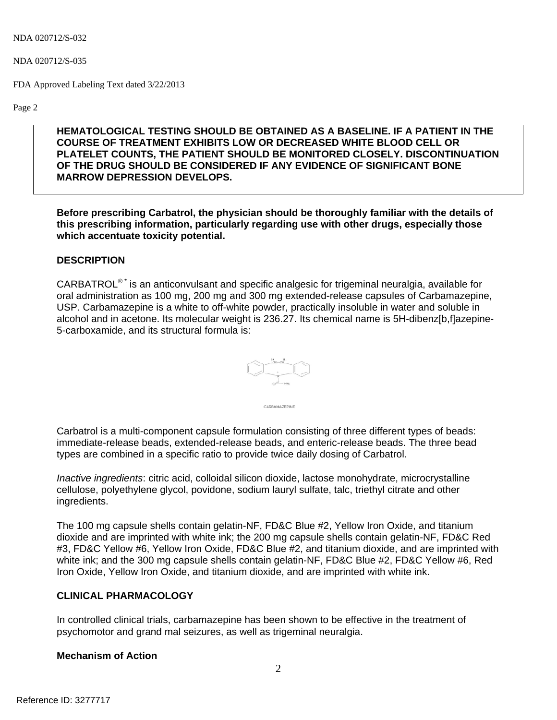FDA Approved Labeling Text dated 3/22/2013

Page 2

**HEMATOLOGICAL TESTING SHOULD BE OBTAINED AS A BASELINE. IF A PATIENT IN THE COURSE OF TREATMENT EXHIBITS LOW OR DECREASED WHITE BLOOD CELL OR PLATELET COUNTS, THE PATIENT SHOULD BE MONITORED CLOSELY. DISCONTINUATION OF THE DRUG SHOULD BE CONSIDERED IF ANY EVIDENCE OF SIGNIFICANT BONE MARROW DEPRESSION DEVELOPS.**

**Before prescribing Carbatrol, the physician should be thoroughly familiar with the details of this prescribing information, particularly regarding use with other drugs, especially those which accentuate toxicity potential.**

## **DESCRIPTION**

CARBATROL<sup>®\*</sup> is an anticonvulsant and specific analgesic for trigeminal neuralgia, available for oral administration as 100 mg, 200 mg and 300 mg extended-release capsules of Carbamazepine, USP. Carbamazepine is a white to off-white powder, practically insoluble in water and soluble in alcohol and in acetone. Its molecular weight is 236.27. Its chemical name is 5H-dibenz[b,f]azepine-5-carboxamide, and its structural formula is:



Carbatrol is a multi-component capsule formulation consisting of three different types of beads: immediate-release beads, extended-release beads, and enteric-release beads. The three bead types are combined in a specific ratio to provide twice daily dosing of Carbatrol.

*Inactive ingredients*: citric acid, colloidal silicon dioxide, lactose monohydrate, microcrystalline cellulose, polyethylene glycol, povidone, sodium lauryl sulfate, talc, triethyl citrate and other ingredients.

The 100 mg capsule shells contain gelatin-NF, FD&C Blue #2, Yellow Iron Oxide, and titanium dioxide and are imprinted with white ink; the 200 mg capsule shells contain gelatin-NF, FD&C Red #3, FD&C Yellow #6, Yellow Iron Oxide, FD&C Blue #2, and titanium dioxide, and are imprinted with white ink; and the 300 mg capsule shells contain gelatin-NF, FD&C Blue #2, FD&C Yellow #6, Red Iron Oxide, Yellow Iron Oxide, and titanium dioxide, and are imprinted with white ink.

## <span id="page-1-0"></span>**CLINICAL PHARMACOLOGY**

In controlled clinical trials, carbamazepine has been shown to be effective in the treatment of psychomotor and grand mal seizures, as well as trigeminal neuralgia.

## **Mechanism of Action**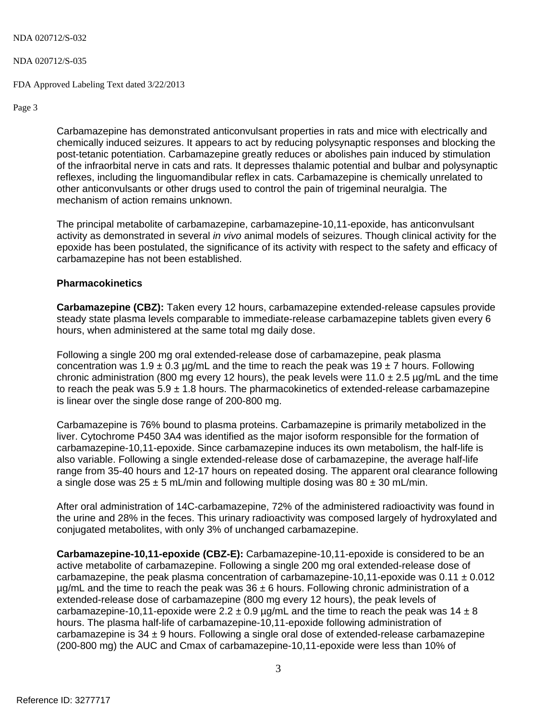#### NDA 020712/S-035

### FDA Approved Labeling Text dated 3/22/2013

Page 3

Carbamazepine has demonstrated anticonvulsant properties in rats and mice with electrically and chemically induced seizures. It appears to act by reducing polysynaptic responses and blocking the post-tetanic potentiation. Carbamazepine greatly reduces or abolishes pain induced by stimulation of the infraorbital nerve in cats and rats. It depresses thalamic potential and bulbar and polysynaptic reflexes, including the linguomandibular reflex in cats. Carbamazepine is chemically unrelated to other anticonvulsants or other drugs used to control the pain of trigeminal neuralgia. The mechanism of action remains unknown.

The principal metabolite of carbamazepine, carbamazepine-10,11-epoxide, has anticonvulsant activity as demonstrated in several *in vivo* animal models of seizures. Though clinical activity for the epoxide has been postulated, the significance of its activity with respect to the safety and efficacy of carbamazepine has not been established.

## **Pharmacokinetics**

**Carbamazepine (CBZ):** Taken every 12 hours, carbamazepine extended-release capsules provide steady state plasma levels comparable to immediate-release carbamazepine tablets given every 6 hours, when administered at the same total mg daily dose.

Following a single 200 mg oral extended-release dose of carbamazepine, peak plasma concentration was  $1.9 \pm 0.3$  µg/mL and the time to reach the peak was  $19 \pm 7$  hours. Following chronic administration (800 mg every 12 hours), the peak levels were 11.0  $\pm$  2.5 µg/mL and the time to reach the peak was  $5.9 \pm 1.8$  hours. The pharmacokinetics of extended-release carbamazepine is linear over the single dose range of 200-800 mg.

Carbamazepine is 76% bound to plasma proteins. Carbamazepine is primarily metabolized in the liver. Cytochrome P450 3A4 was identified as the major isoform responsible for the formation of carbamazepine-10,11-epoxide. Since carbamazepine induces its own metabolism, the half-life is also variable. Following a single extended-release dose of carbamazepine, the average half-life range from 35-40 hours and 12-17 hours on repeated dosing. The apparent oral clearance following a single dose was  $25 \pm 5$  mL/min and following multiple dosing was  $80 \pm 30$  mL/min.

After oral administration of 14C-carbamazepine, 72% of the administered radioactivity was found in the urine and 28% in the feces. This urinary radioactivity was composed largely of hydroxylated and conjugated metabolites, with only 3% of unchanged carbamazepine.

**Carbamazepine-10,11-epoxide (CBZ-E):** Carbamazepine-10,11-epoxide is considered to be an active metabolite of carbamazepine. Following a single 200 mg oral extended-release dose of carbamazepine, the peak plasma concentration of carbamazepine-10,11-epoxide was  $0.11 \pm 0.012$  $\mu$ g/mL and the time to reach the peak was 36  $\pm$  6 hours. Following chronic administration of a extended-release dose of carbamazepine (800 mg every 12 hours), the peak levels of carbamazepine-10,11-epoxide were  $2.2 \pm 0.9$  µg/mL and the time to reach the peak was 14  $\pm 8$ hours. The plasma half-life of carbamazepine-10,11-epoxide following administration of carbamazepine is  $34 \pm 9$  hours. Following a single oral dose of extended-release carbamazepine (200-800 mg) the AUC and Cmax of carbamazepine-10,11-epoxide were less than 10% of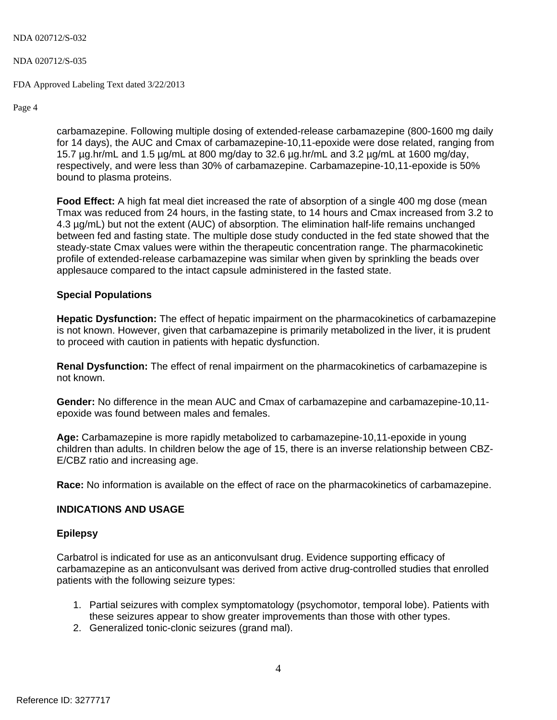#### NDA 020712/S-035

FDA Approved Labeling Text dated 3/22/2013

Page 4

carbamazepine. Following multiple dosing of extended-release carbamazepine (800-1600 mg daily for 14 days), the AUC and Cmax of carbamazepine-10,11-epoxide were dose related, ranging from 15.7 µg.hr/mL and 1.5 µg/mL at 800 mg/day to 32.6 µg.hr/mL and 3.2 µg/mL at 1600 mg/day, respectively, and were less than 30% of carbamazepine. Carbamazepine-10,11-epoxide is 50% bound to plasma proteins.

**Food Effect:** A high fat meal diet increased the rate of absorption of a single 400 mg dose (mean Tmax was reduced from 24 hours, in the fasting state, to 14 hours and Cmax increased from 3.2 to 4.3 µg/mL) but not the extent (AUC) of absorption. The elimination half-life remains unchanged between fed and fasting state. The multiple dose study conducted in the fed state showed that the steady-state Cmax values were within the therapeutic concentration range. The pharmacokinetic profile of extended-release carbamazepine was similar when given by sprinkling the beads over applesauce compared to the intact capsule administered in the fasted state.

## **Special Populations**

**Hepatic Dysfunction:** The effect of hepatic impairment on the pharmacokinetics of carbamazepine is not known. However, given that carbamazepine is primarily metabolized in the liver, it is prudent to proceed with caution in patients with hepatic dysfunction.

**Renal Dysfunction:** The effect of renal impairment on the pharmacokinetics of carbamazepine is not known.

**Gender:** No difference in the mean AUC and Cmax of carbamazepine and carbamazepine-10,11 epoxide was found between males and females.

**Age:** Carbamazepine is more rapidly metabolized to carbamazepine-10,11-epoxide in young children than adults. In children below the age of 15, there is an inverse relationship between CBZ-E/CBZ ratio and increasing age.

**Race:** No information is available on the effect of race on the pharmacokinetics of carbamazepine.

## <span id="page-3-0"></span>**INDICATIONS AND USAGE**

## **Epilepsy**

Carbatrol is indicated for use as an anticonvulsant drug. Evidence supporting efficacy of carbamazepine as an anticonvulsant was derived from active drug-controlled studies that enrolled patients with the following seizure types:

- 1. Partial seizures with complex symptomatology (psychomotor, temporal lobe). Patients with these seizures appear to show greater improvements than those with other types.
- 2. Generalized tonic-clonic seizures (grand mal).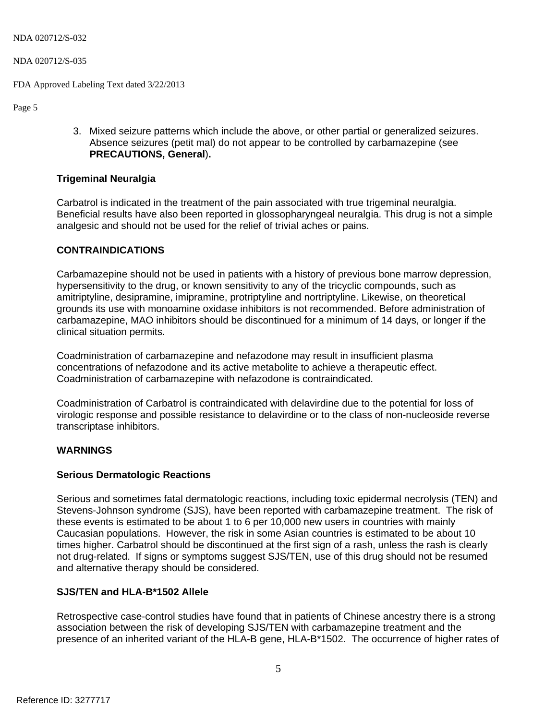FDA Approved Labeling Text dated 3/22/2013

Page 5

3. Mixed seizure patterns which include the above, or other partial or generalized seizures. Absence seizures (petit mal) do not appear to be controlled by carbamazepine (see **[PRECAUTIONS, General](#page-10-0)**)**.** 

## **Trigeminal Neuralgia**

Carbatrol is indicated in the treatment of the pain associated with true trigeminal neuralgia. Beneficial results have also been reported in glossopharyngeal neuralgia. This drug is not a simple analgesic and should not be used for the relief of trivial aches or pains.

# **CONTRAINDICATIONS**

Carbamazepine should not be used in patients with a history of previous bone marrow depression, hypersensitivity to the drug, or known sensitivity to any of the tricyclic compounds, such as amitriptyline, desipramine, imipramine, protriptyline and nortriptyline. Likewise, on theoretical grounds its use with monoamine oxidase inhibitors is not recommended. Before administration of carbamazepine, MAO inhibitors should be discontinued for a minimum of 14 days, or longer if the clinical situation permits.

Coadministration of carbamazepine and nefazodone may result in insufficient plasma concentrations of nefazodone and its active metabolite to achieve a therapeutic effect. Coadministration of carbamazepine with nefazodone is contraindicated.

Coadministration of Carbatrol is contraindicated with delavirdine due to the potential for loss of virologic response and possible resistance to delavirdine or to the class of non-nucleoside reverse transcriptase inhibitors.

# <span id="page-4-0"></span>**WARNINGS**

# **Serious Dermatologic Reactions**

Serious and sometimes fatal dermatologic reactions, including toxic epidermal necrolysis (TEN) and Stevens-Johnson syndrome (SJS), have been reported with carbamazepine treatment. The risk of these events is estimated to be about 1 to 6 per 10,000 new users in countries with mainly Caucasian populations. However, the risk in some Asian countries is estimated to be about 10 times higher. Carbatrol should be discontinued at the first sign of a rash, unless the rash is clearly not drug-related. If signs or symptoms suggest SJS/TEN, use of this drug should not be resumed and alternative therapy should be considered.

# **SJS/TEN and HLA-B\*1502 Allele**

Retrospective case-control studies have found that in patients of Chinese ancestry there is a strong association between the risk of developing SJS/TEN with carbamazepine treatment and the presence of an inherited variant of the HLA-B gene, HLA-B\*1502. The occurrence of higher rates of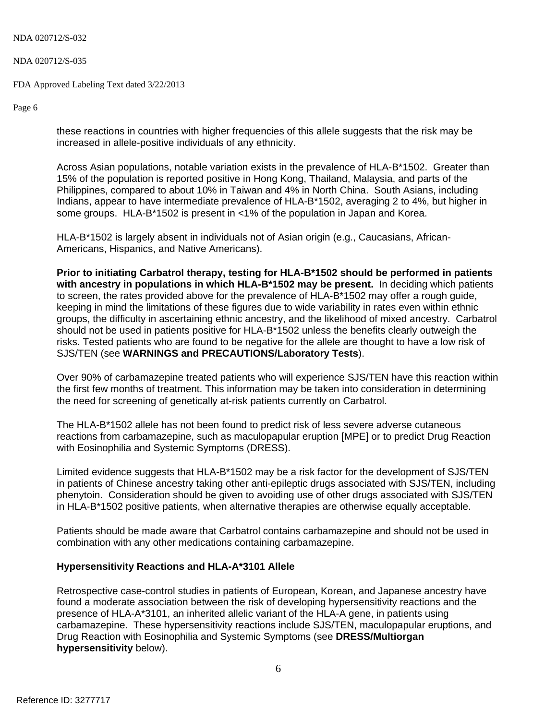#### NDA 020712/S-035

FDA Approved Labeling Text dated 3/22/2013

Page 6

these reactions in countries with higher frequencies of this allele suggests that the risk may be increased in allele-positive individuals of any ethnicity.

Across Asian populations, notable variation exists in the prevalence of HLA-B\*1502. Greater than 15% of the population is reported positive in Hong Kong, Thailand, Malaysia, and parts of the Philippines, compared to about 10% in Taiwan and 4% in North China. South Asians, including Indians, appear to have intermediate prevalence of HLA-B\*1502, averaging 2 to 4%, but higher in some groups. HLA-B\*1502 is present in <1% of the population in Japan and Korea.

HLA-B\*1502 is largely absent in individuals not of Asian origin (e.g., Caucasians, African-Americans, Hispanics, and Native Americans).

**Prior to initiating Carbatrol therapy, testing for HLA-B\*1502 should be performed in patients with ancestry in populations in which HLA-B\*1502 may be present.** In deciding which patients to screen, the rates provided above for the prevalence of HLA-B\*1502 may offer a rough guide, keeping in mind the limitations of these figures due to wide variability in rates even within ethnic groups, the difficulty in ascertaining ethnic ancestry, and the likelihood of mixed ancestry. Carbatrol should not be used in patients positive for HLA-B\*1502 unless the benefits clearly outweigh the risks. Tested patients who are found to be negative for the allele are thought to have a low risk of SJS/TEN (see **WARNINGS and PRECAUTIONS/Laboratory Tests**).

Over 90% of carbamazepine treated patients who will experience SJS/TEN have this reaction within the first few months of treatment. This information may be taken into consideration in determining the need for screening of genetically at-risk patients currently on Carbatrol.

The HLA-B\*1502 allele has not been found to predict risk of less severe adverse cutaneous reactions from carbamazepine, such as maculopapular eruption [MPE] or to predict Drug Reaction with Eosinophilia and Systemic Symptoms (DRESS).

Limited evidence suggests that HLA-B\*1502 may be a risk factor for the development of SJS/TEN in patients of Chinese ancestry taking other anti-epileptic drugs associated with SJS/TEN, including phenytoin. Consideration should be given to avoiding use of other drugs associated with SJS/TEN in HLA-B\*1502 positive patients, when alternative therapies are otherwise equally acceptable.

Patients should be made aware that Carbatrol contains carbamazepine and should not be used in combination with any other medications containing carbamazepine.

# **Hypersensitivity Reactions and HLA-A\*3101 Allele**

Retrospective case-control studies in patients of European, Korean, and Japanese ancestry have found a moderate association between the risk of developing hypersensitivity reactions and the presence of HLA-A\*3101, an inherited allelic variant of the HLA-A gene, in patients using carbamazepine. These hypersensitivity reactions include SJS/TEN, maculopapular eruptions, and Drug Reaction with Eosinophilia and Systemic Symptoms (see **DRESS/Multiorgan hypersensitivity** below).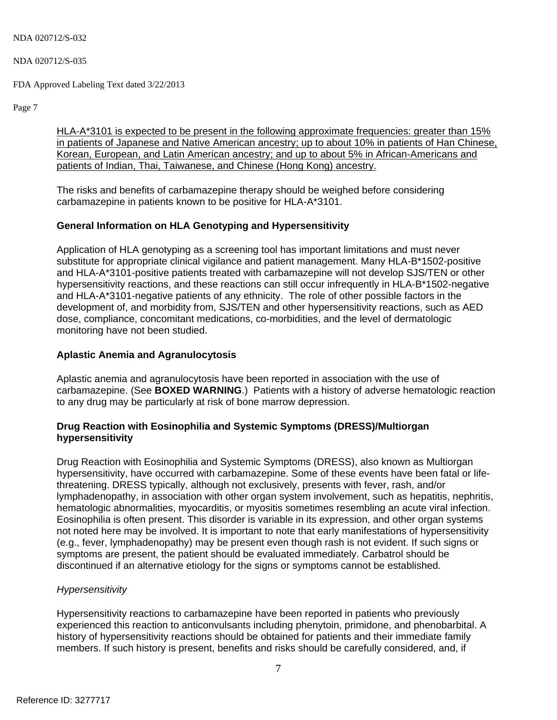#### NDA 020712/S-035

FDA Approved Labeling Text dated 3/22/2013

Page 7

HLA-A\*3101 is expected to be present in the following approximate frequencies: greater than 15% in patients of Japanese and Native American ancestry; up to about 10% in patients of Han Chinese, Korean, European, and Latin American ancestry; and up to about 5% in African-Americans and patients of Indian, Thai, Taiwanese, and Chinese (Hong Kong) ancestry.

The risks and benefits of carbamazepine therapy should be weighed before considering carbamazepine in patients known to be positive for HLA-A\*3101.

## **General Information on HLA Genotyping and Hypersensitivity**

Application of HLA genotyping as a screening tool has important limitations and must never substitute for appropriate clinical vigilance and patient management. Many HLA-B\*1502-positive and HLA-A\*3101-positive patients treated with carbamazepine will not develop SJS/TEN or other hypersensitivity reactions, and these reactions can still occur infrequently in HLA-B\*1502-negative and HLA-A\*3101-negative patients of any ethnicity. The role of other possible factors in the development of, and morbidity from, SJS/TEN and other hypersensitivity reactions, such as AED dose, compliance, concomitant medications, co-morbidities, and the level of dermatologic monitoring have not been studied.

## **Aplastic Anemia and Agranulocytosis**

Aplastic anemia and agranulocytosis have been reported in association with the use of carbamazepine. (See **BOXED WARNING**.) Patients with a history of adverse hematologic reaction to any drug may be particularly at risk of bone marrow depression.

# **Drug Reaction with Eosinophilia and Systemic Symptoms (DRESS)/Multiorgan hypersensitivity**

Drug Reaction with Eosinophilia and Systemic Symptoms (DRESS), also known as Multiorgan hypersensitivity, have occurred with carbamazepine. Some of these events have been fatal or lifethreatening. DRESS typically, although not exclusively, presents with fever, rash, and/or lymphadenopathy, in association with other organ system involvement, such as hepatitis, nephritis, hematologic abnormalities, myocarditis, or myositis sometimes resembling an acute viral infection. Eosinophilia is often present. This disorder is variable in its expression, and other organ systems not noted here may be involved. It is important to note that early manifestations of hypersensitivity (e.g., fever, lymphadenopathy) may be present even though rash is not evident. If such signs or symptoms are present, the patient should be evaluated immediately. Carbatrol should be discontinued if an alternative etiology for the signs or symptoms cannot be established.

# *Hypersensitivity*

Hypersensitivity reactions to carbamazepine have been reported in patients who previously experienced this reaction to anticonvulsants including phenytoin, primidone, and phenobarbital. A history of hypersensitivity reactions should be obtained for patients and their immediate family members. If such history is present, benefits and risks should be carefully considered, and, if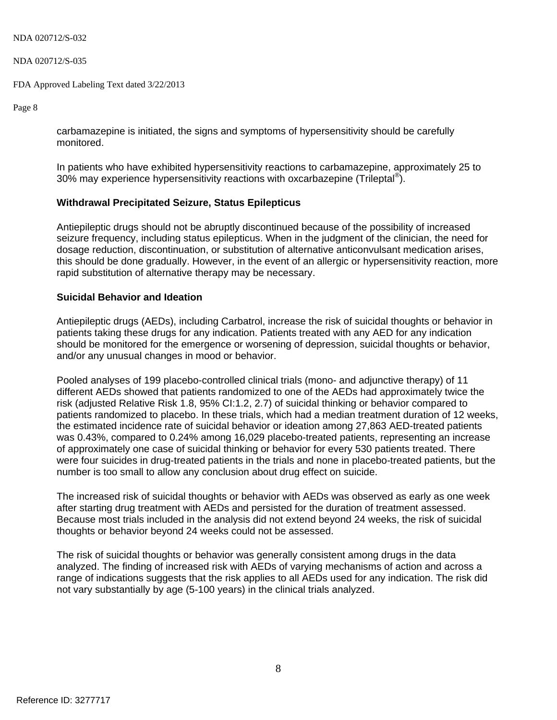#### NDA 020712/S-035

FDA Approved Labeling Text dated 3/22/2013

Page 8

carbamazepine is initiated, the signs and symptoms of hypersensitivity should be carefully monitored.

In patients who have exhibited hypersensitivity reactions to carbamazepine, approximately 25 to 30% may experience hypersensitivity reactions with oxcarbazepine (Trileptal<sup>®</sup>).

## **Withdrawal Precipitated Seizure, Status Epilepticus**

Antiepileptic drugs should not be abruptly discontinued because of the possibility of increased seizure frequency, including status epilepticus. When in the judgment of the clinician, the need for dosage reduction, discontinuation, or substitution of alternative anticonvulsant medication arises, this should be done gradually. However, in the event of an allergic or hypersensitivity reaction, more rapid substitution of alternative therapy may be necessary.

## **Suicidal Behavior and Ideation**

Antiepileptic drugs (AEDs), including Carbatrol, increase the risk of suicidal thoughts or behavior in patients taking these drugs for any indication. Patients treated with any AED for any indication should be monitored for the emergence or worsening of depression, suicidal thoughts or behavior, and/or any unusual changes in mood or behavior.

Pooled analyses of 199 placebo-controlled clinical trials (mono- and adjunctive therapy) of 11 different AEDs showed that patients randomized to one of the AEDs had approximately twice the risk (adjusted Relative Risk 1.8, 95% CI:1.2, 2.7) of suicidal thinking or behavior compared to patients randomized to placebo. In these trials, which had a median treatment duration of 12 weeks, the estimated incidence rate of suicidal behavior or ideation among 27,863 AED-treated patients was 0.43%, compared to 0.24% among 16,029 placebo-treated patients, representing an increase of approximately one case of suicidal thinking or behavior for every 530 patients treated. There were four suicides in drug-treated patients in the trials and none in placebo-treated patients, but the number is too small to allow any conclusion about drug effect on suicide.

The increased risk of suicidal thoughts or behavior with AEDs was observed as early as one week after starting drug treatment with AEDs and persisted for the duration of treatment assessed. Because most trials included in the analysis did not extend beyond 24 weeks, the risk of suicidal thoughts or behavior beyond 24 weeks could not be assessed.

The risk of suicidal thoughts or behavior was generally consistent among drugs in the data analyzed. The finding of increased risk with AEDs of varying mechanisms of action and across a range of indications suggests that the risk applies to all AEDs used for any indication. The risk did not vary substantially by age (5-100 years) in the clinical trials analyzed.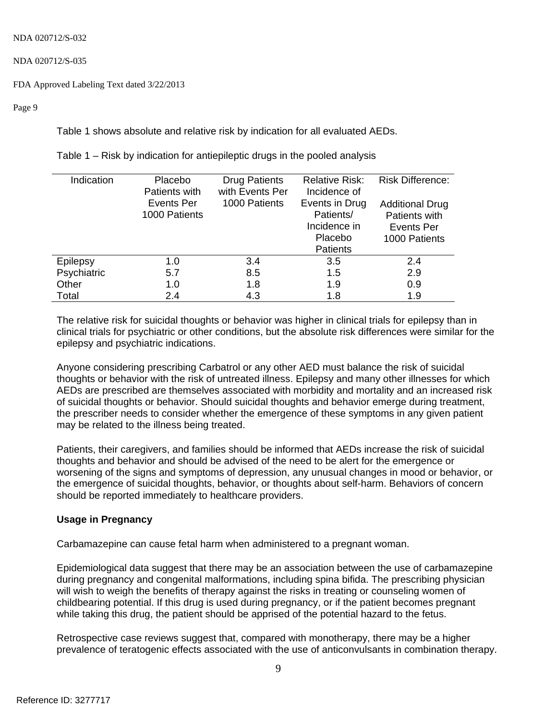#### NDA 020712/S-035

### FDA Approved Labeling Text dated 3/22/2013

Page 9

Table 1 shows absolute and relative risk by indication for all evaluated AEDs.

Table 1 – Risk by indication for antiepileptic drugs in the pooled analysis

| Indication  | Placebo<br>Patients with           | <b>Drug Patients</b><br>with Events Per | <b>Relative Risk:</b><br>Incidence of | <b>Risk Difference:</b>                 |
|-------------|------------------------------------|-----------------------------------------|---------------------------------------|-----------------------------------------|
|             | <b>Events Per</b><br>1000 Patients | 1000 Patients                           | Events in Drug<br>Patients/           | <b>Additional Drug</b><br>Patients with |
|             |                                    |                                         | Incidence in                          | <b>Events Per</b>                       |
|             |                                    |                                         | Placebo                               | 1000 Patients                           |
|             |                                    |                                         | <b>Patients</b>                       |                                         |
| Epilepsy    | 1.0                                | 3.4                                     | 3.5                                   | 2.4                                     |
| Psychiatric | 5.7                                | 8.5                                     | 1.5                                   | 2.9                                     |
| Other       | 1.0                                | 1.8                                     | 1.9                                   | 0.9                                     |
| Total       | 2.4                                | 4.3                                     | 1.8                                   | 1.9                                     |

The relative risk for suicidal thoughts or behavior was higher in clinical trials for epilepsy than in clinical trials for psychiatric or other conditions, but the absolute risk differences were similar for the epilepsy and psychiatric indications.

Anyone considering prescribing Carbatrol or any other AED must balance the risk of suicidal thoughts or behavior with the risk of untreated illness. Epilepsy and many other illnesses for which AEDs are prescribed are themselves associated with morbidity and mortality and an increased risk of suicidal thoughts or behavior. Should suicidal thoughts and behavior emerge during treatment, the prescriber needs to consider whether the emergence of these symptoms in any given patient may be related to the illness being treated.

Patients, their caregivers, and families should be informed that AEDs increase the risk of suicidal thoughts and behavior and should be advised of the need to be alert for the emergence or worsening of the signs and symptoms of depression, any unusual changes in mood or behavior, or the emergence of suicidal thoughts, behavior, or thoughts about self-harm. Behaviors of concern should be reported immediately to healthcare providers.

# **Usage in Pregnancy**

Carbamazepine can cause fetal harm when administered to a pregnant woman.

Epidemiological data suggest that there may be an association between the use of carbamazepine during pregnancy and congenital malformations, including spina bifida. The prescribing physician will wish to weigh the benefits of therapy against the risks in treating or counseling women of childbearing potential. If this drug is used during pregnancy, or if the patient becomes pregnant while taking this drug, the patient should be apprised of the potential hazard to the fetus.

Retrospective case reviews suggest that, compared with monotherapy, there may be a higher prevalence of teratogenic effects associated with the use of anticonvulsants in combination therapy.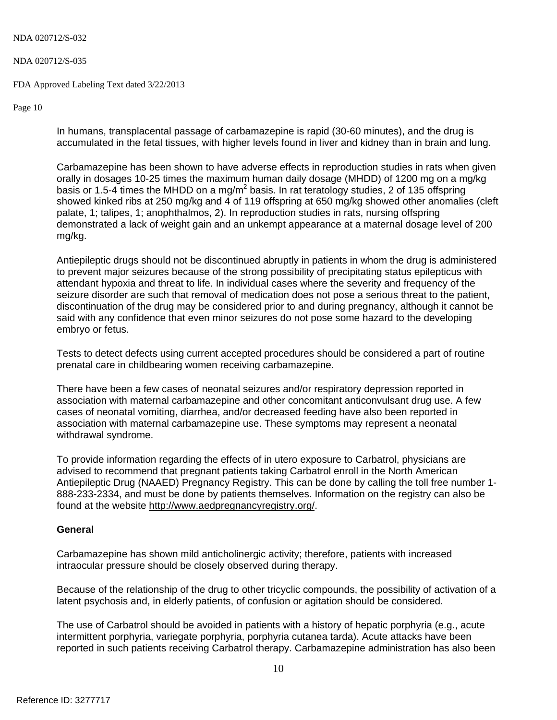#### NDA 020712/S-035

#### FDA Approved Labeling Text dated 3/22/2013

Page 10

In humans, transplacental passage of carbamazepine is rapid (30-60 minutes), and the drug is accumulated in the fetal tissues, with higher levels found in liver and kidney than in brain and lung.

Carbamazepine has been shown to have adverse effects in reproduction studies in rats when given orally in dosages 10-25 times the maximum human daily dosage (MHDD) of 1200 mg on a mg/kg basis or 1.5-4 times the MHDD on a mg/m<sup>2</sup> basis. In rat teratology studies, 2 of 135 offspring showed kinked ribs at 250 mg/kg and 4 of 119 offspring at 650 mg/kg showed other anomalies (cleft palate, 1; talipes, 1; anophthalmos, 2). In reproduction studies in rats, nursing offspring demonstrated a lack of weight gain and an unkempt appearance at a maternal dosage level of 200 mg/kg.

Antiepileptic drugs should not be discontinued abruptly in patients in whom the drug is administered to prevent major seizures because of the strong possibility of precipitating status epilepticus with attendant hypoxia and threat to life. In individual cases where the severity and frequency of the seizure disorder are such that removal of medication does not pose a serious threat to the patient, discontinuation of the drug may be considered prior to and during pregnancy, although it cannot be said with any confidence that even minor seizures do not pose some hazard to the developing embryo or fetus.

Tests to detect defects using current accepted procedures should be considered a part of routine prenatal care in childbearing women receiving carbamazepine.

There have been a few cases of neonatal seizures and/or respiratory depression reported in association with maternal carbamazepine and other concomitant anticonvulsant drug use. A few cases of neonatal vomiting, diarrhea, and/or decreased feeding have also been reported in association with maternal carbamazepine use. These symptoms may represent a neonatal withdrawal syndrome.

To provide information regarding the effects of in utero exposure to Carbatrol, physicians are advised to recommend that pregnant patients taking Carbatrol enroll in the North American Antiepileptic Drug (NAAED) Pregnancy Registry. This can be done by calling the toll free number 1- 888-233-2334, and must be done by patients themselves. Information on the registry can also be found at the website http://www.aedpregnancyregistry.org/.

## **General**

Carbamazepine has shown mild anticholinergic activity; therefore, patients with increased intraocular pressure should be closely observed during therapy.

Because of the relationship of the drug to other tricyclic compounds, the possibility of activation of a latent psychosis and, in elderly patients, of confusion or agitation should be considered.

The use of Carbatrol should be avoided in patients with a history of hepatic porphyria (e.g., acute intermittent porphyria, variegate porphyria, porphyria cutanea tarda). Acute attacks have been reported in such patients receiving Carbatrol therapy. Carbamazepine administration has also been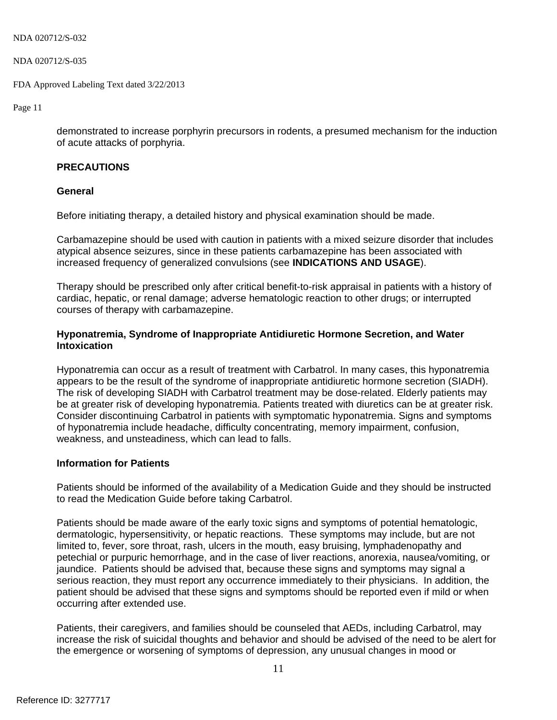#### NDA 020712/S-035

### FDA Approved Labeling Text dated 3/22/2013

Page 11

demonstrated to increase porphyrin precursors in rodents, a presumed mechanism for the induction of acute attacks of porphyria.

## **PRECAUTIONS**

### <span id="page-10-0"></span>**General**

Before initiating therapy, a detailed history and physical examination should be made.

Carbamazepine should be used with caution in patients with a mixed seizure disorder that includes atypical absence seizures, since in these patients carbamazepine has been associated with increased frequency of generalized convulsions (see **[INDICATIONS AND USAGE](#page-3-0)**).

Therapy should be prescribed only after critical benefit-to-risk appraisal in patients with a history of cardiac, hepatic, or renal damage; adverse hematologic reaction to other drugs; or interrupted courses of therapy with carbamazepine.

## **Hyponatremia, Syndrome of Inappropriate Antidiuretic Hormone Secretion, and Water Intoxication**

Hyponatremia can occur as a result of treatment with Carbatrol. In many cases, this hyponatremia appears to be the result of the syndrome of inappropriate antidiuretic hormone secretion (SIADH). The risk of developing SIADH with Carbatrol treatment may be dose-related. Elderly patients may be at greater risk of developing hyponatremia. Patients treated with diuretics can be at greater risk. Consider discontinuing Carbatrol in patients with symptomatic hyponatremia. Signs and symptoms of hyponatremia include headache, difficulty concentrating, memory impairment, confusion, weakness, and unsteadiness, which can lead to falls.

## **Information for Patients**

Patients should be informed of the availability of a Medication Guide and they should be instructed to read the Medication Guide before taking Carbatrol.

Patients should be made aware of the early toxic signs and symptoms of potential hematologic, dermatologic, hypersensitivity, or hepatic reactions. These symptoms may include, but are not limited to, fever, sore throat, rash, ulcers in the mouth, easy bruising, lymphadenopathy and petechial or purpuric hemorrhage, and in the case of liver reactions, anorexia, nausea/vomiting, or jaundice. Patients should be advised that, because these signs and symptoms may signal a serious reaction, they must report any occurrence immediately to their physicians. In addition, the patient should be advised that these signs and symptoms should be reported even if mild or when occurring after extended use.

Patients, their caregivers, and families should be counseled that AEDs, including Carbatrol, may increase the risk of suicidal thoughts and behavior and should be advised of the need to be alert for the emergence or worsening of symptoms of depression, any unusual changes in mood or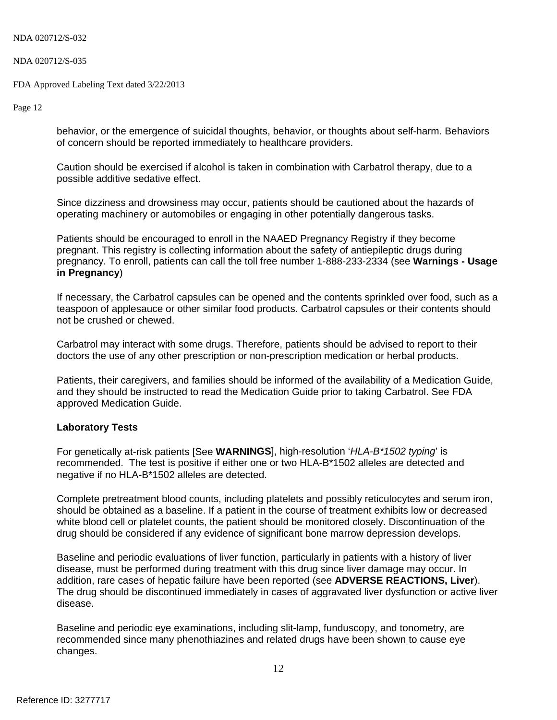#### NDA 020712/S-035

FDA Approved Labeling Text dated 3/22/2013

Page 12

behavior, or the emergence of suicidal thoughts, behavior, or thoughts about self-harm. Behaviors of concern should be reported immediately to healthcare providers.

Caution should be exercised if alcohol is taken in combination with Carbatrol therapy, due to a possible additive sedative effect.

Since dizziness and drowsiness may occur, patients should be cautioned about the hazards of operating machinery or automobiles or engaging in other potentially dangerous tasks.

Patients should be encouraged to enroll in the NAAED Pregnancy Registry if they become pregnant. This registry is collecting information about the safety of antiepileptic drugs during pregnancy. To enroll, patients can call the toll free number 1-888-233-2334 (see **Warnings - Usage in Pregnancy**)

If necessary, the Carbatrol capsules can be opened and the contents sprinkled over food, such as a teaspoon of applesauce or other similar food products. Carbatrol capsules or their contents should not be crushed or chewed.

Carbatrol may interact with some drugs. Therefore, patients should be advised to report to their doctors the use of any other prescription or non-prescription medication or herbal products.

Patients, their caregivers, and families should be informed of the availability of a Medication Guide, and they should be instructed to read the Medication Guide prior to taking Carbatrol. See FDA approved Medication Guide.

## <span id="page-11-0"></span>**Laboratory Tests**

For genetically at-risk patients [See **WARNINGS**], high-resolution '*HLA-B\*1502 typing*' is recommended. The test is positive if either one or two HLA-B\*1502 alleles are detected and negative if no HLA-B\*1502 alleles are detected.

Complete pretreatment blood counts, including platelets and possibly reticulocytes and serum iron, should be obtained as a baseline. If a patient in the course of treatment exhibits low or decreased white blood cell or platelet counts, the patient should be monitored closely. Discontinuation of the drug should be considered if any evidence of significant bone marrow depression develops.

Baseline and periodic evaluations of liver function, particularly in patients with a history of liver disease, must be performed during treatment with this drug since liver damage may occur. In addition, rare cases of hepatic failure have been reported (see **ADVERSE REACTIONS, Liver**). The drug should be discontinued immediately in cases of aggravated liver dysfunction or active liver disease.

Baseline and periodic eye examinations, including slit-lamp, funduscopy, and tonometry, are recommended since many phenothiazines and related drugs have been shown to cause eye changes.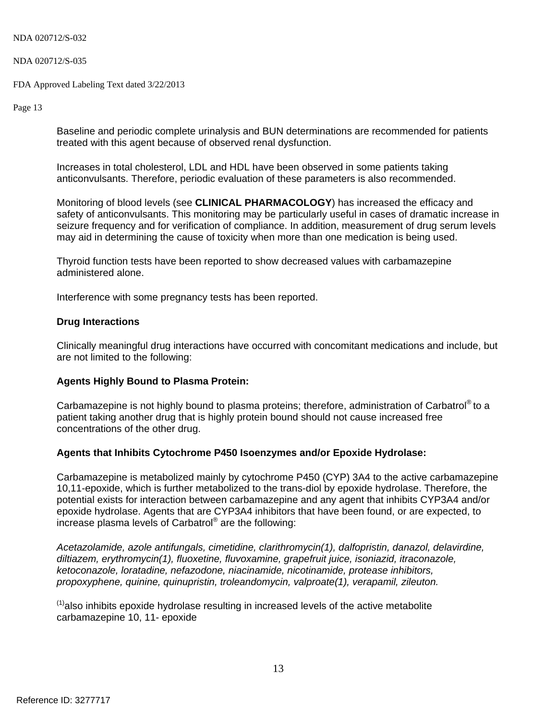#### NDA 020712/S-035

FDA Approved Labeling Text dated 3/22/2013

Page 13

Baseline and periodic complete urinalysis and BUN determinations are recommended for patients treated with this agent because of observed renal dysfunction.

Increases in total cholesterol, LDL and HDL have been observed in some patients taking anticonvulsants. Therefore, periodic evaluation of these parameters is also recommended.

Monitoring of blood levels (see **[CLINICAL PHARMACOLOGY](#page-1-0)**) has increased the efficacy and safety of anticonvulsants. This monitoring may be particularly useful in cases of dramatic increase in seizure frequency and for verification of compliance. In addition, measurement of drug serum levels may aid in determining the cause of toxicity when more than one medication is being used.

Thyroid function tests have been reported to show decreased values with carbamazepine administered alone.

Interference with some pregnancy tests has been reported.

## <span id="page-12-0"></span>**Drug Interactions**

Clinically meaningful drug interactions have occurred with concomitant medications and include, but are not limited to the following:

## **Agents Highly Bound to Plasma Protein:**

Carbamazepine is not highly bound to plasma proteins; therefore, administration of Carbatrol® to a patient taking another drug that is highly protein bound should not cause increased free concentrations of the other drug.

## **Agents that Inhibits Cytochrome P450 Isoenzymes and/or Epoxide Hydrolase:**

Carbamazepine is metabolized mainly by cytochrome P450 (CYP) 3A4 to the active carbamazepine 10,11-epoxide, which is further metabolized to the trans-diol by epoxide hydrolase. Therefore, the potential exists for interaction between carbamazepine and any agent that inhibits CYP3A4 and/or epoxide hydrolase. Agents that are CYP3A4 inhibitors that have been found, or are expected, to increase plasma levels of Carbatrol® are the following:

*Acetazolamide, azole antifungals, cimetidine, clarithromycin(1), dalfopristin, danazol, delavirdine, diltiazem, erythromycin(1), fluoxetine, fluvoxamine, grapefruit juice, isoniazid, itraconazole, ketoconazole, loratadine, nefazodone, niacinamide, nicotinamide, protease inhibitors, propoxyphene, quinine, quinupristin, troleandomycin, valproate(1), verapamil, zileuton.*

 $<sup>(1)</sup>$ also inhibits epoxide hydrolase resulting in increased levels of the active metabolite</sup> carbamazepine 10, 11- epoxide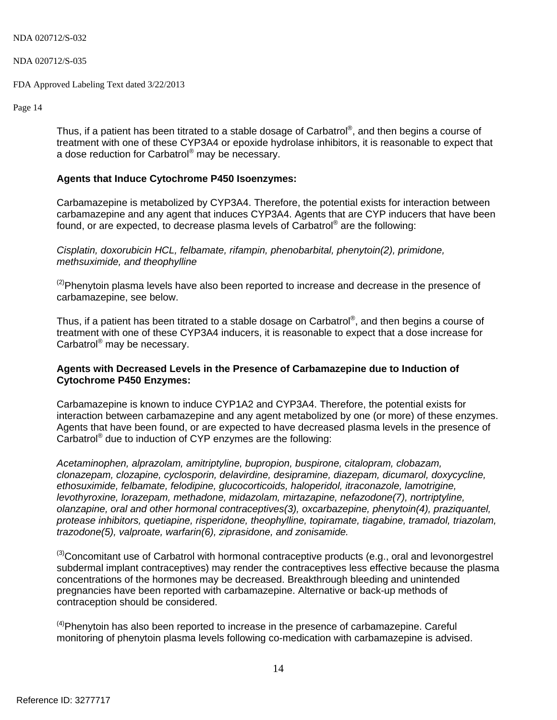#### NDA 020712/S-035

FDA Approved Labeling Text dated 3/22/2013

Page 14

Thus, if a patient has been titrated to a stable dosage of Carbatrol<sup>®</sup>, and then begins a course of treatment with one of these CYP3A4 or epoxide hydrolase inhibitors, it is reasonable to expect that a dose reduction for Carbatrol® may be necessary.

## **Agents that Induce Cytochrome P450 Isoenzymes:**

Carbamazepine is metabolized by CYP3A4. Therefore, the potential exists for interaction between carbamazepine and any agent that induces CYP3A4. Agents that are CYP inducers that have been found, or are expected, to decrease plasma levels of Carbatrol® are the following:

*Cisplatin, doxorubicin HCL, felbamate, rifampin, phenobarbital, phenytoin(2), primidone, methsuximide, and theophylline*

<sup>(2)</sup>Phenvtoin plasma levels have also been reported to increase and decrease in the presence of carbamazepine, see below.

Thus, if a patient has been titrated to a stable dosage on Carbatrol®, and then begins a course of treatment with one of these CYP3A4 inducers, it is reasonable to expect that a dose increase for Carbatrol® may be necessary.

## **Agents with Decreased Levels in the Presence of Carbamazepine due to Induction of Cytochrome P450 Enzymes:**

Carbamazepine is known to induce CYP1A2 and CYP3A4. Therefore, the potential exists for interaction between carbamazepine and any agent metabolized by one (or more) of these enzymes. Agents that have been found, or are expected to have decreased plasma levels in the presence of Carbatrol® due to induction of CYP enzymes are the following:

*Acetaminophen, alprazolam, amitriptyline, bupropion, buspirone, citalopram, clobazam, clonazepam, clozapine, cyclosporin, delavirdine, desipramine, diazepam, dicumarol, doxycycline, ethosuximide, felbamate, felodipine, glucocorticoids, haloperidol, itraconazole, lamotrigine, levothyroxine, lorazepam, methadone, midazolam, mirtazapine, nefazodone(7), nortriptyline, olanzapine, oral and other hormonal contraceptives(3), oxcarbazepine, phenytoin(4), praziquantel, protease inhibitors, quetiapine, risperidone, theophylline, topiramate, tiagabine, tramadol, triazolam, trazodone(5), valproate, warfarin(6), ziprasidone, and zonisamide.* 

 $^{(3)}$ Concomitant use of Carbatrol with hormonal contraceptive products (e.g., oral and levonorgestrel subdermal implant contraceptives) may render the contraceptives less effective because the plasma concentrations of the hormones may be decreased. Breakthrough bleeding and unintended pregnancies have been reported with carbamazepine. Alternative or back-up methods of contraception should be considered.

 $<sup>(4)</sup>$ Phenytoin has also been reported to increase in the presence of carbamazepine. Careful</sup> monitoring of phenytoin plasma levels following co-medication with carbamazepine is advised.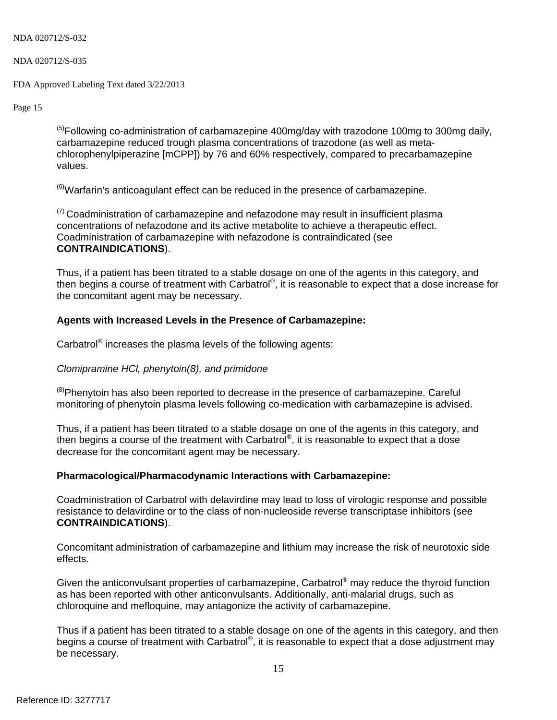#### NDA 020712/S-035

FDA Approved Labeling Text dated 3/22/2013

Page 15

 $<sup>(5)</sup>$ Following co-administration of carbamazepine 400mg/day with trazodone 100mg to 300mg daily,</sup> carbamazepine reduced trough plasma concentrations of trazodone (as well as metachlorophenylpiperazine [mCPP]) by 76 and 60% respectively, compared to precarbamazepine values.

 $^{(6)}$ Warfarin's anticoagulant effect can be reduced in the presence of carbamazepine.

 $<sup>(7)</sup>$  Coadministration of carbamazepine and nefazodone may result in insufficient plasma</sup> concentrations of nefazodone and its active metabolite to achieve a therapeutic effect. Coadministration of carbamazepine with nefazodone is contraindicated (see **CONTRAINDICATIONS**).

Thus, if a patient has been titrated to a stable dosage on one of the agents in this category, and then begins a course of treatment with Carbatrol®, it is reasonable to expect that a dose increase for the concomitant agent may be necessary.

# **Agents with Increased Levels in the Presence of Carbamazepine:**

Carbatrol® increases the plasma levels of the following agents:

# *Clomipramine HCl, phenytoin(8), and primidone*

 $<sup>(8)</sup>$ Phenytoin has also been reported to decrease in the presence of carbamazepine. Careful</sup> monitoring of phenytoin plasma levels following co-medication with carbamazepine is advised.

Thus, if a patient has been titrated to a stable dosage on one of the agents in this category, and then begins a course of the treatment with Carbatrol®, it is reasonable to expect that a dose decrease for the concomitant agent may be necessary.

## **Pharmacological/Pharmacodynamic Interactions with Carbamazepine:**

Coadministration of Carbatrol with delavirdine may lead to loss of virologic response and possible resistance to delavirdine or to the class of non-nucleoside reverse transcriptase inhibitors (see **CONTRAINDICATIONS**).

Concomitant administration of carbamazepine and lithium may increase the risk of neurotoxic side effects.

Given the anticonvulsant properties of carbamazepine, Carbatrol® may reduce the thyroid function as has been reported with other anticonvulsants. Additionally, anti-malarial drugs, such as chloroquine and mefloquine, may antagonize the activity of carbamazepine.

Thus if a patient has been titrated to a stable dosage on one of the agents in this category, and then begins a course of treatment with Carbatrol<sup>®</sup>, it is reasonable to expect that a dose adjustment may be necessary.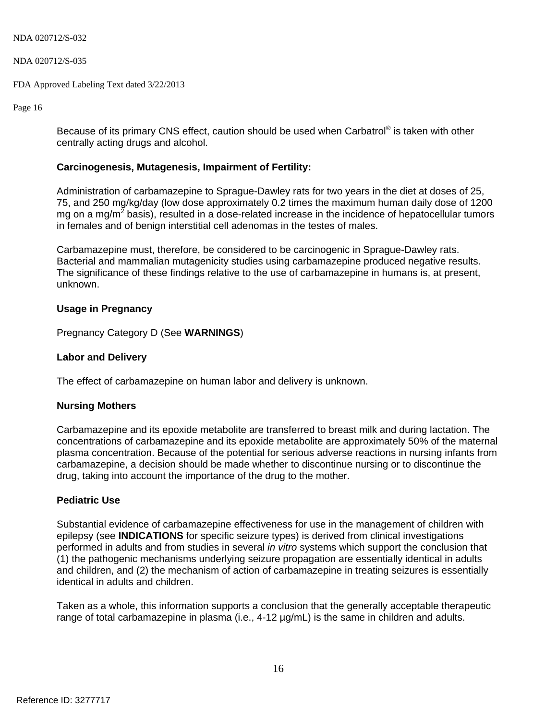#### NDA 020712/S-035

FDA Approved Labeling Text dated 3/22/2013

Page 16

Because of its primary CNS effect, caution should be used when Carbatrol® is taken with other centrally acting drugs and alcohol.

## **Carcinogenesis, Mutagenesis, Impairment of Fertility:**

Administration of carbamazepine to Sprague-Dawley rats for two years in the diet at doses of 25, 75, and 250 mg/kg/day (low dose approximately 0.2 times the maximum human daily dose of 1200 mg on a mg/m<sup>2</sup> basis), resulted in a dose-related increase in the incidence of hepatocellular tumors in females and of benign interstitial cell adenomas in the testes of males.

Carbamazepine must, therefore, be considered to be carcinogenic in Sprague-Dawley rats. Bacterial and mammalian mutagenicity studies using carbamazepine produced negative results. The significance of these findings relative to the use of carbamazepine in humans is, at present, unknown.

### <span id="page-15-0"></span>**Usage in Pregnancy**

Pregnancy Category D (See **[WARNINGS](#page-4-0)**)

## **Labor and Delivery**

The effect of carbamazepine on human labor and delivery is unknown.

## **Nursing Mothers**

Carbamazepine and its epoxide metabolite are transferred to breast milk and during lactation. The concentrations of carbamazepine and its epoxide metabolite are approximately 50% of the maternal plasma concentration. Because of the potential for serious adverse reactions in nursing infants from carbamazepine, a decision should be made whether to discontinue nursing or to discontinue the drug, taking into account the importance of the drug to the mother.

## **Pediatric Use**

Substantial evidence of carbamazepine effectiveness for use in the management of children with epilepsy (see **[INDICATIONS](#page-3-0)** for specific seizure types) is derived from clinical investigations performed in adults and from studies in several *in vitro* systems which support the conclusion that (1) the pathogenic mechanisms underlying seizure propagation are essentially identical in adults and children, and (2) the mechanism of action of carbamazepine in treating seizures is essentially identical in adults and children.

Taken as a whole, this information supports a conclusion that the generally acceptable therapeutic range of total carbamazepine in plasma (i.e.,  $4-12 \mu q/mL$ ) is the same in children and adults.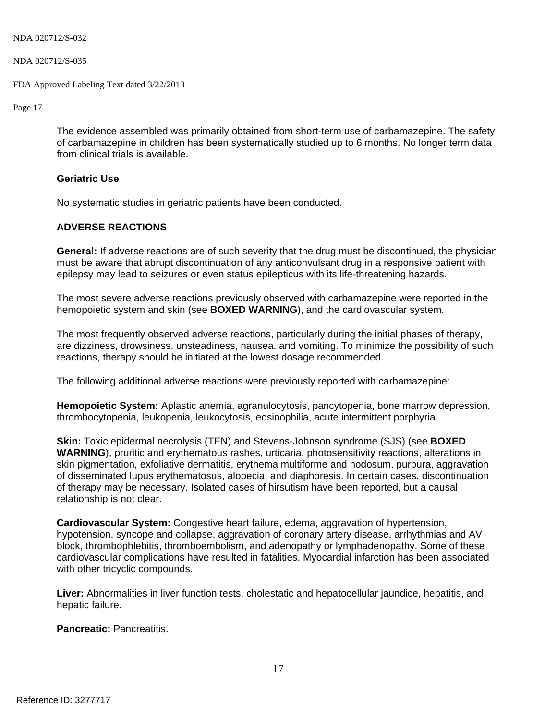NDA 020712/S-035

FDA Approved Labeling Text dated 3/22/2013

Page 17

The evidence assembled was primarily obtained from short-term use of carbamazepine. The safety of carbamazepine in children has been systematically studied up to 6 months. No longer term data from clinical trials is available.

## **Geriatric Use**

No systematic studies in geriatric patients have been conducted.

# **ADVERSE REACTIONS**

**General:** If adverse reactions are of such severity that the drug must be discontinued, the physician must be aware that abrupt discontinuation of any anticonvulsant drug in a responsive patient with epilepsy may lead to seizures or even status epilepticus with its life-threatening hazards.

The most severe adverse reactions previously observed with carbamazepine were reported in the hemopoietic system and skin (see **[BOXED WARNING](#page-0-0)**), and the cardiovascular system.

The most frequently observed adverse reactions, particularly during the initial phases of therapy, are dizziness, drowsiness, unsteadiness, nausea, and vomiting. To minimize the possibility of such reactions, therapy should be initiated at the lowest dosage recommended.

The following additional adverse reactions were previously reported with carbamazepine:

**Hemopoietic System:** Aplastic anemia, agranulocytosis, pancytopenia, bone marrow depression, thrombocytopenia, leukopenia, leukocytosis, eosinophilia, acute intermittent porphyria.

**Skin:** Toxic epidermal necrolysis (TEN) and Stevens-Johnson syndrome (SJS) (see **BOXED WARNING**), pruritic and erythematous rashes, urticaria, photosensitivity reactions, alterations in skin pigmentation, exfoliative dermatitis, erythema multiforme and nodosum, purpura, aggravation of disseminated lupus erythematosus, alopecia, and diaphoresis. In certain cases, discontinuation of therapy may be necessary. Isolated cases of hirsutism have been reported, but a causal relationship is not clear.

**Cardiovascular System:** Congestive heart failure, edema, aggravation of hypertension, hypotension, syncope and collapse, aggravation of coronary artery disease, arrhythmias and AV block, thrombophlebitis, thromboembolism, and adenopathy or lymphadenopathy. Some of these cardiovascular complications have resulted in fatalities. Myocardial infarction has been associated with other tricyclic compounds.

**Liver:** Abnormalities in liver function tests, cholestatic and hepatocellular jaundice, hepatitis, and hepatic failure.

**Pancreatic:** Pancreatitis.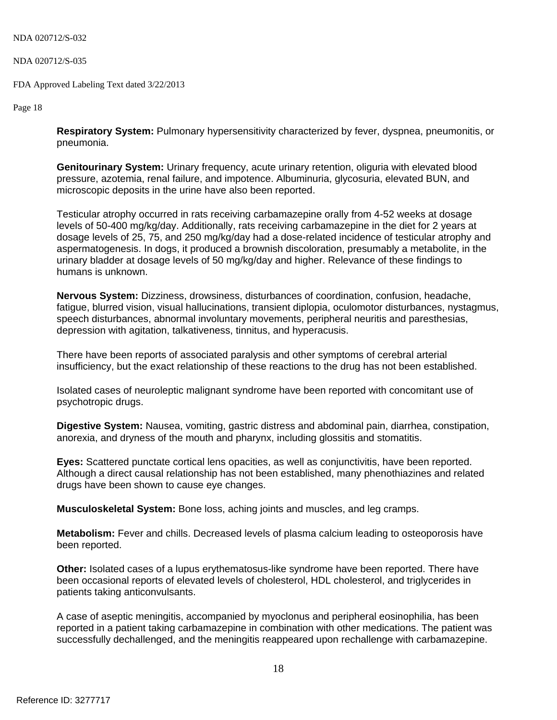NDA 020712/S-035

FDA Approved Labeling Text dated 3/22/2013

Page 18

**Respiratory System:** Pulmonary hypersensitivity characterized by fever, dyspnea, pneumonitis, or pneumonia.

**Genitourinary System:** Urinary frequency, acute urinary retention, oliguria with elevated blood pressure, azotemia, renal failure, and impotence. Albuminuria, glycosuria, elevated BUN, and microscopic deposits in the urine have also been reported.

Testicular atrophy occurred in rats receiving carbamazepine orally from 4-52 weeks at dosage levels of 50-400 mg/kg/day. Additionally, rats receiving carbamazepine in the diet for 2 years at dosage levels of 25, 75, and 250 mg/kg/day had a dose-related incidence of testicular atrophy and aspermatogenesis. In dogs, it produced a brownish discoloration, presumably a metabolite, in the urinary bladder at dosage levels of 50 mg/kg/day and higher. Relevance of these findings to humans is unknown.

**Nervous System:** Dizziness, drowsiness, disturbances of coordination, confusion, headache, fatigue, blurred vision, visual hallucinations, transient diplopia, oculomotor disturbances, nystagmus, speech disturbances, abnormal involuntary movements, peripheral neuritis and paresthesias, depression with agitation, talkativeness, tinnitus, and hyperacusis.

There have been reports of associated paralysis and other symptoms of cerebral arterial insufficiency, but the exact relationship of these reactions to the drug has not been established.

Isolated cases of neuroleptic malignant syndrome have been reported with concomitant use of psychotropic drugs.

**Digestive System:** Nausea, vomiting, gastric distress and abdominal pain, diarrhea, constipation, anorexia, and dryness of the mouth and pharynx, including glossitis and stomatitis.

**Eyes:** Scattered punctate cortical lens opacities, as well as conjunctivitis, have been reported. Although a direct causal relationship has not been established, many phenothiazines and related drugs have been shown to cause eye changes.

**Musculoskeletal System:** Bone loss, aching joints and muscles, and leg cramps.

**Metabolism:** Fever and chills. Decreased levels of plasma calcium leading to osteoporosis have been reported.

**Other:** Isolated cases of a lupus erythematosus-like syndrome have been reported. There have been occasional reports of elevated levels of cholesterol, HDL cholesterol, and triglycerides in patients taking anticonvulsants.

A case of aseptic meningitis, accompanied by myoclonus and peripheral eosinophilia, has been reported in a patient taking carbamazepine in combination with other medications. The patient was successfully dechallenged, and the meningitis reappeared upon rechallenge with carbamazepine.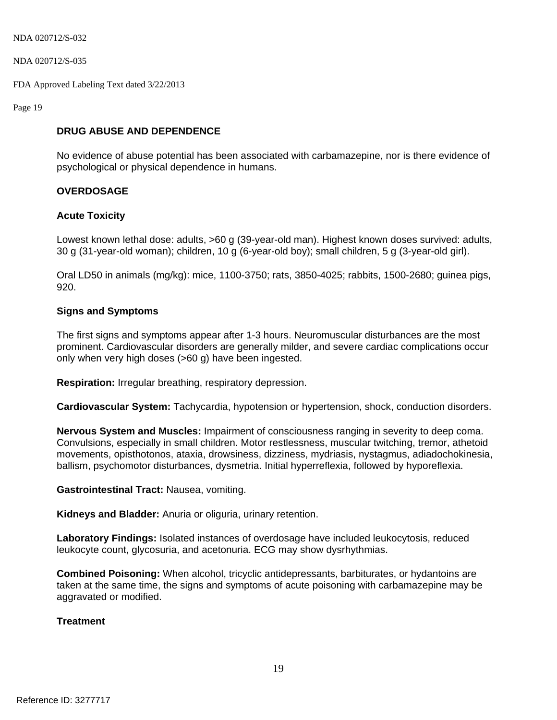NDA 020712/S-035

FDA Approved Labeling Text dated 3/22/2013

Page 19

## **DRUG ABUSE AND DEPENDENCE**

No evidence of abuse potential has been associated with carbamazepine, nor is there evidence of psychological or physical dependence in humans.

## **OVERDOSAGE**

## **Acute Toxicity**

Lowest known lethal dose: adults, >60 g (39-year-old man). Highest known doses survived: adults, 30 g (31-year-old woman); children, 10 g (6-year-old boy); small children, 5 g (3-year-old girl).

Oral LD50 in animals (mg/kg): mice, 1100-3750; rats, 3850-4025; rabbits, 1500-2680; guinea pigs, 920.

## **Signs and Symptoms**

The first signs and symptoms appear after 1-3 hours. Neuromuscular disturbances are the most prominent. Cardiovascular disorders are generally milder, and severe cardiac complications occur only when very high doses (>60 g) have been ingested.

**Respiration:** Irregular breathing, respiratory depression.

**Cardiovascular System:** Tachycardia, hypotension or hypertension, shock, conduction disorders.

**Nervous System and Muscles:** Impairment of consciousness ranging in severity to deep coma. Convulsions, especially in small children. Motor restlessness, muscular twitching, tremor, athetoid movements, opisthotonos, ataxia, drowsiness, dizziness, mydriasis, nystagmus, adiadochokinesia, ballism, psychomotor disturbances, dysmetria. Initial hyperreflexia, followed by hyporeflexia.

**Gastrointestinal Tract:** Nausea, vomiting.

**Kidneys and Bladder:** Anuria or oliguria, urinary retention.

**Laboratory Findings:** Isolated instances of overdosage have included leukocytosis, reduced leukocyte count, glycosuria, and acetonuria. ECG may show dysrhythmias.

**Combined Poisoning:** When alcohol, tricyclic antidepressants, barbiturates, or hydantoins are taken at the same time, the signs and symptoms of acute poisoning with carbamazepine may be aggravated or modified.

## **Treatment**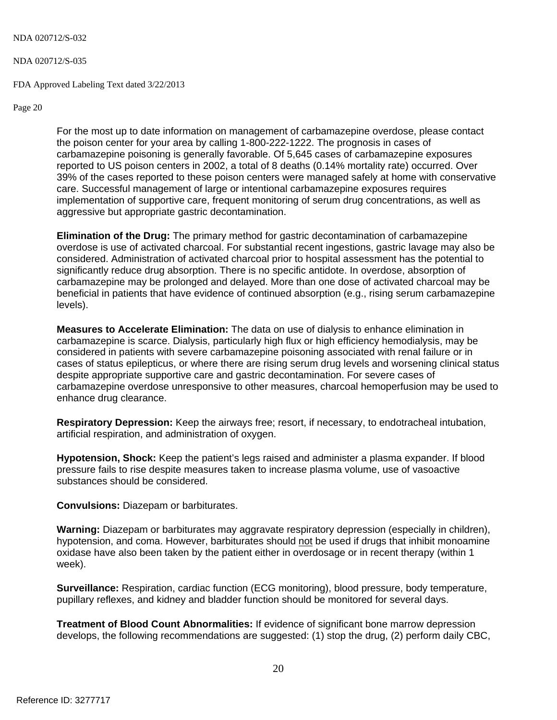#### NDA 020712/S-035

#### FDA Approved Labeling Text dated 3/22/2013

Page 20

For the most up to date information on management of carbamazepine overdose, please contact the poison center for your area by calling 1-800-222-1222. The prognosis in cases of carbamazepine poisoning is generally favorable. Of 5,645 cases of carbamazepine exposures reported to US poison centers in 2002, a total of 8 deaths (0.14% mortality rate) occurred. Over 39% of the cases reported to these poison centers were managed safely at home with conservative care. Successful management of large or intentional carbamazepine exposures requires implementation of supportive care, frequent monitoring of serum drug concentrations, as well as aggressive but appropriate gastric decontamination.

**Elimination of the Drug:** The primary method for gastric decontamination of carbamazepine overdose is use of activated charcoal. For substantial recent ingestions, gastric lavage may also be considered. Administration of activated charcoal prior to hospital assessment has the potential to significantly reduce drug absorption. There is no specific antidote. In overdose, absorption of carbamazepine may be prolonged and delayed. More than one dose of activated charcoal may be beneficial in patients that have evidence of continued absorption (e.g., rising serum carbamazepine levels).

**Measures to Accelerate Elimination:** The data on use of dialysis to enhance elimination in carbamazepine is scarce. Dialysis, particularly high flux or high efficiency hemodialysis, may be considered in patients with severe carbamazepine poisoning associated with renal failure or in cases of status epilepticus, or where there are rising serum drug levels and worsening clinical status despite appropriate supportive care and gastric decontamination. For severe cases of carbamazepine overdose unresponsive to other measures, charcoal hemoperfusion may be used to enhance drug clearance.

**Respiratory Depression:** Keep the airways free; resort, if necessary, to endotracheal intubation, artificial respiration, and administration of oxygen.

**Hypotension, Shock:** Keep the patient's legs raised and administer a plasma expander. If blood pressure fails to rise despite measures taken to increase plasma volume, use of vasoactive substances should be considered.

**Convulsions:** Diazepam or barbiturates.

**Warning:** Diazepam or barbiturates may aggravate respiratory depression (especially in children), hypotension, and coma. However, barbiturates should not be used if drugs that inhibit monoamine oxidase have also been taken by the patient either in overdosage or in recent therapy (within 1 week).

**Surveillance:** Respiration, cardiac function (ECG monitoring), blood pressure, body temperature, pupillary reflexes, and kidney and bladder function should be monitored for several days.

**Treatment of Blood Count Abnormalities:** If evidence of significant bone marrow depression develops, the following recommendations are suggested: (1) stop the drug, (2) perform daily CBC,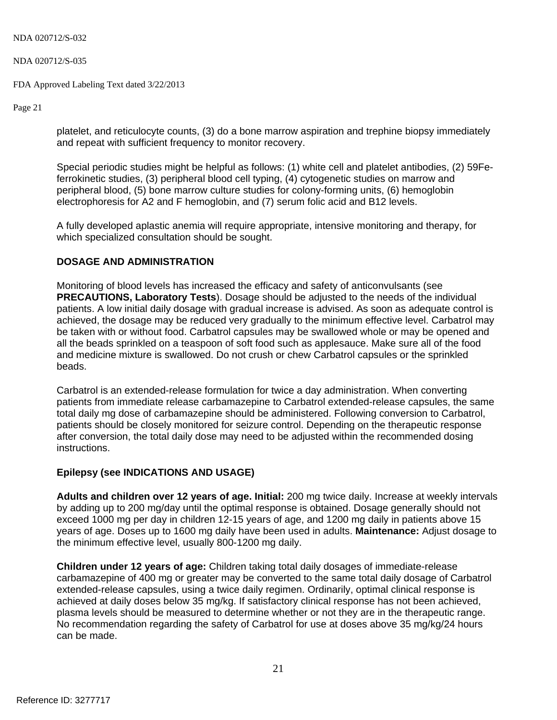#### NDA 020712/S-035

FDA Approved Labeling Text dated 3/22/2013

Page 21

platelet, and reticulocyte counts, (3) do a bone marrow aspiration and trephine biopsy immediately and repeat with sufficient frequency to monitor recovery.

Special periodic studies might be helpful as follows: (1) white cell and platelet antibodies, (2) 59Feferrokinetic studies, (3) peripheral blood cell typing, (4) cytogenetic studies on marrow and peripheral blood, (5) bone marrow culture studies for colony-forming units, (6) hemoglobin electrophoresis for A2 and F hemoglobin, and (7) serum folic acid and B12 levels.

A fully developed aplastic anemia will require appropriate, intensive monitoring and therapy, for which specialized consultation should be sought.

# **DOSAGE AND ADMINISTRATION**

Monitoring of blood levels has increased the efficacy and safety of anticonvulsants (see **[PRECAUTIONS, Laboratory Tests](#page-11-0)**). Dosage should be adjusted to the needs of the individual patients. A low initial daily dosage with gradual increase is advised. As soon as adequate control is achieved, the dosage may be reduced very gradually to the minimum effective level. Carbatrol may be taken with or without food. Carbatrol capsules may be swallowed whole or may be opened and all the beads sprinkled on a teaspoon of soft food such as applesauce. Make sure all of the food and medicine mixture is swallowed. Do not crush or chew Carbatrol capsules or the sprinkled beads.

Carbatrol is an extended-release formulation for twice a day administration. When converting patients from immediate release carbamazepine to Carbatrol extended-release capsules, the same total daily mg dose of carbamazepine should be administered. Following conversion to Carbatrol, patients should be closely monitored for seizure control. Depending on the therapeutic response after conversion, the total daily dose may need to be adjusted within the recommended dosing instructions.

# **Epilepsy (see INDICATIONS AND USAGE)**

**Adults and children over 12 years of age. Initial:** 200 mg twice daily. Increase at weekly intervals by adding up to 200 mg/day until the optimal response is obtained. Dosage generally should not exceed 1000 mg per day in children 12-15 years of age, and 1200 mg daily in patients above 15 years of age. Doses up to 1600 mg daily have been used in adults. **Maintenance:** Adjust dosage to the minimum effective level, usually 800-1200 mg daily.

**Children under 12 years of age:** Children taking total daily dosages of immediate-release carbamazepine of 400 mg or greater may be converted to the same total daily dosage of Carbatrol extended-release capsules, using a twice daily regimen. Ordinarily, optimal clinical response is achieved at daily doses below 35 mg/kg. If satisfactory clinical response has not been achieved, plasma levels should be measured to determine whether or not they are in the therapeutic range. No recommendation regarding the safety of Carbatrol for use at doses above 35 mg/kg/24 hours can be made.